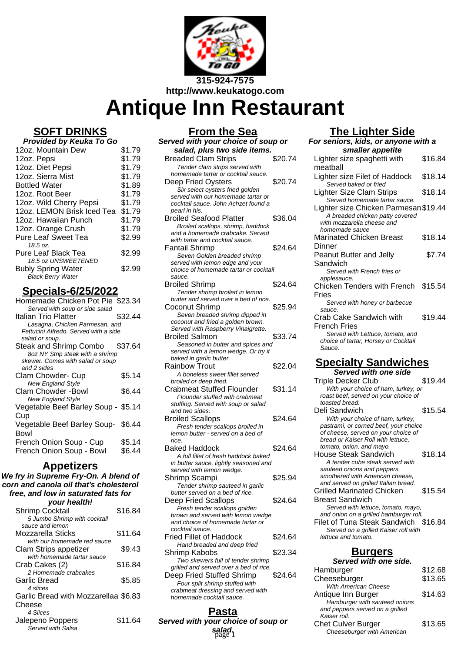

# **Antique Inn Restaurant**

## **SOFT DRINKS**

| Provided by Keuka To Go                                                      |        |  |
|------------------------------------------------------------------------------|--------|--|
| 12oz. Mountain Dew                                                           | \$1.79 |  |
| 12oz. Pepsi                                                                  | \$1.79 |  |
| 12oz. Diet Pepsi                                                             | \$1.79 |  |
| 12oz. Sierra Mist                                                            | \$1.79 |  |
| <b>Bottled Water</b>                                                         | \$1.89 |  |
| 12oz. Root Beer                                                              | \$1.79 |  |
| 12oz. Wild Cherry Pepsi                                                      | \$1.79 |  |
| 12oz. LEMON Brisk Iced Tea                                                   | \$1.79 |  |
| 12oz. Hawaiian Punch                                                         | \$1.79 |  |
| 12oz. Orange Crush                                                           | \$1.79 |  |
| <b>Pure Leaf Sweet Tea</b>                                                   | \$2.99 |  |
| 18.5 oz.                                                                     |        |  |
| Pure Leaf Black Tea                                                          | \$2.99 |  |
| 18.5 oz UNSWEETENED<br><b>Bubly Spring Water</b><br><b>Black Berry Water</b> | \$2.99 |  |

## **Specials-6/25/2022**

| Homemade Chicken Pot Pie \$23.34      |         |
|---------------------------------------|---------|
| Served with soup or side salad        |         |
| Italian Trio Platter                  | \$32.44 |
| Lasagna, Chicken Parmesan, and        |         |
| Fettucini Alfredo. Served with a side |         |
| salad or soup.                        |         |
| Steak and Shrimp Combo                | \$37.64 |
| 8oz NY Strip steak with a shrimp      |         |
| skewer. Comes with salad or soup      |         |
| and 2 sides                           |         |
|                                       |         |
| Clam Chowder- Cup                     | \$5.14  |
| <b>New England Style</b>              |         |
| Clam Chowder -Bowl                    | \$6.44  |
| <b>New England Style</b>              |         |
| Vegetable Beef Barley Soup - \$5.14   |         |
|                                       |         |
| Cup                                   |         |
| Vegetable Beef Barley Soup-\$6.44     |         |
| Bowl                                  |         |
| French Onion Soup - Cup               | \$5.14  |
|                                       |         |
| French Onion Soup - Bowl              | \$6.44  |
|                                       |         |

### **Appetizers**

**We fry in Supreme Fry-On. A blend of corn and canola oil that's cholesterol free, and low in saturated fats for your health!**

| <i>vour nearth!</i>                  |         |
|--------------------------------------|---------|
| <b>Shrimp Cocktail</b>               | \$16.84 |
| 5 Jumbo Shrimp with cocktail         |         |
| sauce and lemon                      |         |
| Mozzarella Sticks                    | \$11.64 |
| with our homemade red sauce          |         |
| Clam Strips appetizer                | \$9.43  |
| with homemade tartar sauce           |         |
| Crab Cakes (2)                       | \$16.84 |
| 2 Homemade crabcakes                 |         |
| Garlic Bread                         | \$5.85  |
| 4 slices                             |         |
| Garlic Bread with Mozzarellaa \$6.83 |         |
| Cheese                               |         |
| 4 Slices                             |         |
| Jalepeno Poppers                     | \$11.64 |
| Served with Salsa                    |         |
|                                      |         |

| From the Sea                                                          |         |  |
|-----------------------------------------------------------------------|---------|--|
| Served with your choice of soup or                                    |         |  |
| salad, plus two side items.                                           |         |  |
| <b>Breaded Clam Strips</b>                                            | \$20.74 |  |
| Tender clam strips served with                                        |         |  |
| homemade tartar or cocktail sauce.                                    |         |  |
| Deep Fried Oysters                                                    | \$20.74 |  |
| Six select oysters fried golden<br>served with our homemade tartar or |         |  |
| cocktail sauce. John Achzet found a                                   |         |  |
| pearl in his.                                                         |         |  |
| Broiled Seafood Platter                                               | \$36.04 |  |
| Broiled scallops, shrimp, haddock                                     |         |  |
| and a homemade crabcake. Served                                       |         |  |
| with tartar and cocktail sauce.                                       |         |  |
| <b>Fantail Shrimp</b>                                                 | \$24.64 |  |
| Seven Golden breaded shrimp<br>served with lemon edge and your        |         |  |
| choice of homemade tartar or cocktail                                 |         |  |
| sauce.                                                                |         |  |
| Broiled Shrimp                                                        | \$24.64 |  |
| Tender shrimp broiled in lemon                                        |         |  |
| butter and served over a bed of rice.                                 |         |  |
| Coconut Shrimp                                                        | \$25.94 |  |
| Seven breaded shrimp dipped in<br>coconut and fried a golden brown.   |         |  |
| Served with Raspberry Vinaigrette.                                    |         |  |
| Broiled Salmon                                                        | \$33.74 |  |
| Seasoned in butter and spices and                                     |         |  |
| served with a lemon wedge. Or try it                                  |         |  |
| baked in garlic butter.                                               |         |  |
| Rainbow Trout                                                         | \$22.04 |  |
| A boneless sweet fillet served<br>broiled or deep fried.              |         |  |
| <b>Crabmeat Stuffed Flounder</b>                                      | \$31.14 |  |
| Flounder stuffed with crabmeat                                        |         |  |
| stuffing. Served with soup or salad                                   |         |  |
| and two sides.                                                        |         |  |
| <b>Broiled Scallops</b>                                               | \$24.64 |  |
| Fresh tender scallops broiled in                                      |         |  |
| lemon butter - served on a bed of<br>rice.                            |         |  |
| Baked Haddock                                                         | \$24.64 |  |
| A full fillet of fresh haddock baked                                  |         |  |
| in butter sauce, lightly seasoned and                                 |         |  |
| served with lemon wedge.                                              |         |  |
| Shrimp Scampi                                                         | \$25.94 |  |
| Tender shrimp sauteed in garlic                                       |         |  |
| butter served on a bed of rice.                                       |         |  |
| <b>Deep Fried Scallops</b>                                            | \$24.64 |  |
| Fresh tender scallops golden<br>brown and served with lemon wedge     |         |  |
| and choice of homemade tartar or                                      |         |  |
| cocktail sauce.                                                       |         |  |
| Fried Fillet of Haddock                                               | \$24.64 |  |
| Hand breaded and deep fried                                           |         |  |
| Shrimp Kabobs                                                         | \$23.34 |  |
| Two skewers full of tender shrimp                                     |         |  |
| grilled and served over a bed of rice.                                | \$24.64 |  |
| Deep Fried Stuffed Shrimp<br>Four split shrimp stuffed with           |         |  |
| crabmeat dressing and served with                                     |         |  |

**Pasta Served with your choice of soup or salad.**

homemade cocktail sauce.

# **The Lighter Side**

| <u> 1116 Eighter Oluc</u><br>For seniors, kids, or anyone with a |                                                                                                                                                        |         |
|------------------------------------------------------------------|--------------------------------------------------------------------------------------------------------------------------------------------------------|---------|
| smaller appetite                                                 |                                                                                                                                                        |         |
| $^{\prime}$ 4                                                    | Lighter size spaghetti with<br>meatball                                                                                                                | \$16.84 |
| '4                                                               | Lighter size Filet of Haddock                                                                                                                          | \$18.14 |
|                                                                  | Served baked or fried<br>Lighter Size Clam Strips                                                                                                      | \$18.14 |
| 14                                                               | Served homemade tartar sauce.<br>Lighter size Chicken Parmesan \$19.44<br>A breaded chicken patty covered                                              |         |
|                                                                  | with mozzarella cheese and<br>homemade sauce<br><b>Marinated Chicken Breast</b>                                                                        | \$18.14 |
| ì4                                                               | Dinner                                                                                                                                                 |         |
|                                                                  | Peanut Butter and Jelly<br>Sandwich<br>Served with French fries or                                                                                     | \$7.74  |
| ì4                                                               | applesauce.<br>Chicken Tenders with French \$15.54<br>Fries                                                                                            |         |
| 14                                                               | Served with honey or barbecue<br>sauce.                                                                                                                |         |
|                                                                  | Crab Cake Sandwich with<br>French Fries<br>Served with Lettuce, tomato, and                                                                            | \$19.44 |
| '4                                                               | choice of tartar, Horsey or Cocktail<br>Sauce.                                                                                                         |         |
| 14                                                               | <b>Specialty Sandwiches</b><br>Served with one side                                                                                                    |         |
|                                                                  | <b>Triple Decker Club</b>                                                                                                                              | \$19.44 |
| 4                                                                | With your choice of ham, turkey, or<br>roast beef, served on your choice of                                                                            |         |
|                                                                  | toasted bread.<br>Deli Sandwich                                                                                                                        | \$15.54 |
| 34                                                               | With your choice of ham, turkey,<br>pastrami, or corned beef, your choice<br>of cheese, served on your choice of<br>bread or Kaiser Roll with lettuce, |         |
| ì4                                                               | tomato, onion, and mayo.<br>House Steak Sandwich                                                                                                       | \$18.14 |
| 14                                                               | A tender cube steak served with<br>sauteed onions and peppers,<br>smothered with American cheese,                                                      |         |
|                                                                  | and served on grilled Italian bread.<br><b>Grilled Marinated Chicken</b>                                                                               | \$15.54 |
| 34                                                               | <b>Breast Sandwich</b><br>Served with lettuce, tomato, mayo,                                                                                           |         |
|                                                                  | and onion on a grilled hamburger roll.<br>Filet of Tuna Steak Sandwich                                                                                 | \$16.84 |
| ì4                                                               | Served on a grilled Kaiser roll with<br>lettuce and tomato.                                                                                            |         |
| ١4                                                               | <u>Burgers</u>                                                                                                                                         |         |
|                                                                  | Served with one side.                                                                                                                                  |         |

| iuli vi l <del>ehuel shiini</del> p              | <u>served with one side.</u>                            |         |
|--------------------------------------------------|---------------------------------------------------------|---------|
| ed over a bed of rice.                           | Hamburger                                               | \$12.68 |
| \$24.64<br>uffed Shrimp<br>mp stuffed with       | Cheeseburger<br><b>With American Cheese</b>             | \$13.65 |
| ing and served with<br>ktail sauce.              | Antique Inn Burger<br>Hamburger with sauteed onions     | \$14.63 |
| ˈasta                                            | and peppers served on a grilled<br>Kaiser roll.         |         |
| ur choice of soup or<br>i <b>alad.</b><br>page 1 | <b>Chet Culver Burger</b><br>Cheeseburger with American | \$13.65 |